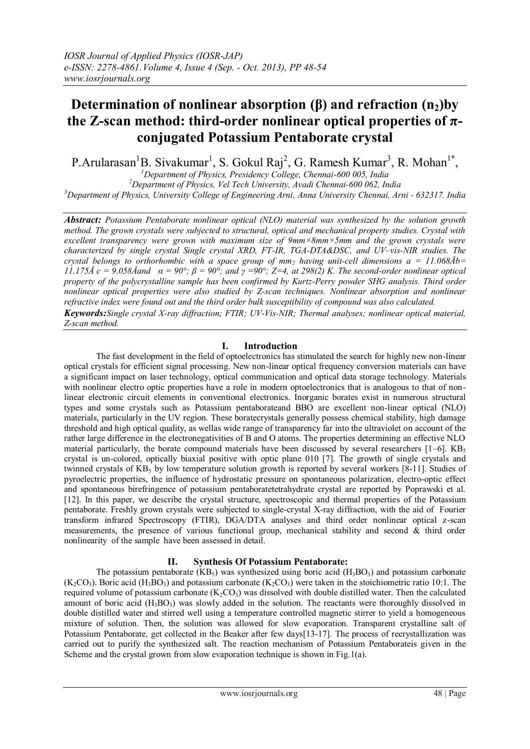# **Determination of nonlinear absorption (β) and refraction (n2)by the Z-scan method: third-order nonlinear optical properties of πconjugated Potassium Pentaborate crystal**

P.Arularasan<sup>1</sup>B. Sivakumar<sup>1</sup>, S. Gokul Raj<sup>2</sup>, G. Ramesh Kumar<sup>3</sup>, R. Mohan<sup>1\*</sup>,

*<sup>1</sup>Department of Physics, Presidency College, Chennai-600 005, India <sup>2</sup>Department of Physics, Vel Tech University, Avadi Chennai-600 062, India <sup>3</sup>Department of Physics, University College of Engineering Arni, Anna University Chennai, Arni - 632317. India*

*Abstract: Potassium Pentaborate nonlinear optical (NLO) material was synthesized by the solution growth method. The grown crystals were subjected to structural, optical and mechanical property studies. Crystal with excellent transparency were grown with maximum size of 9mm×8mm×5mm and the grown crystals were characterized by single crystal Single crystal XRD, FT-IR, TGA-DTA&DSC, and UV–vis-NIR studies. The crystal belongs to orthorhombic with a space group of mm<sub>i</sub> having unit-cell dimensions*  $a = 11.068\text{Å}b =$ *11.175Å*  $c = 9.058$ Åand  $\alpha = 90^\circ$ ;  $\beta = 90^\circ$ ; and  $\gamma = 90^\circ$ ; Z=4, at 298(2) K. The second-order nonlinear optical *property of the polycrystalline sample has been confirmed by Kurtz-Perry powder SHG analysis. Third order nonlinear optical properties were also studied by Z-scan techniques. Nonlinear absorption and nonlinear refractive index were found out and the third order bulk susceptibility of compound was also calculated. Keywords:Single crystal X-ray diffraction; FTIR; UV-Vis-NIR; Thermal analyses; nonlinear optical material,*

## *Z-scan method.*

## **I. Introduction**

The fast development in the field of optoelectronics has stimulated the search for highly new non-linear optical crystals for efficient signal processing. New non-linear optical frequency conversion materials can have a significant impact on laser technology, optical communication and optical data storage technology. Materials with nonlinear electro optic properties have a role in modern optoelectronics that is analogous to that of nonlinear electronic circuit elements in conventional electronics. Inorganic borates exist in numerous structural types and some crystals such as Potassium pentaborateand BBO are excellent non-linear optical (NLO) materials, particularly in the UV region. These boratecrystals generally possess chemical stability, high damage threshold and high optical quality, as wellas wide range of transparency far into the ultraviolet on account of the rather large difference in the electronegativities of B and O atoms. The properties determining an effective NLO material particularly, the borate compound materials have been discussed by several researchers  $[1-6]$ . KB<sub>5</sub> crystal is un-colored, optically biaxial positive with optic plane 010 [7]. The growth of single crystals and twinned crystals of  $KB_5$  by low temperature solution growth is reported by several workers [8-11]. Studies of pyroelectric properties, the influence of hydrostatic pressure on spontaneous polarization, electro-optic effect and spontaneous birefringence of potassium pentaboratetetrahydrate crystal are reported by Poprawski et al. [12]. In this paper, we describe the crystal structure, spectroscopic and thermal properties of the Potassium pentaborate. Freshly grown crystals were subjected to single-crystal X-ray diffraction, with the aid of Fourier transform infrared Spectroscopy (FTIR), DGA/DTA analyses and third order nonlinear optical z-scan measurements, the presence of various functional group, mechanical stability and second & third order nonlinearity of the sample have been assessed in detail.

## **II. Synthesis Of Potassium Pentaborate:**

The potassium pentaborate (KB<sub>5</sub>) was synthesized using boric acid (H<sub>3</sub>BO<sub>3</sub>) and potassium carbonate  $(K_2CO_3)$ . Boric acid  $(H_3BO_3)$  and potassium carbonate  $(K_2CO_3)$  were taken in the stoichiometric ratio 10:1. The required volume of potassium carbonate  $(K_2CO_3)$  was dissolved with double distilled water. Then the calculated amount of boric acid  $(H_3BO_3)$  was slowly added in the solution. The reactants were thoroughly dissolved in double distilled water and stirred well using a temperature controlled magnetic stirrer to yield a homogeneous mixture of solution. Then, the solution was allowed for slow evaporation. Transparent crystalline salt of Potassium Pentaborate, get collected in the Beaker after few days[13-17]. The process of recrystallization was carried out to purify the synthesized salt. The reaction mechanism of Potassium Pentaborateis given in the Scheme and the crystal grown from slow evaporation technique is shown in Fig.1(a).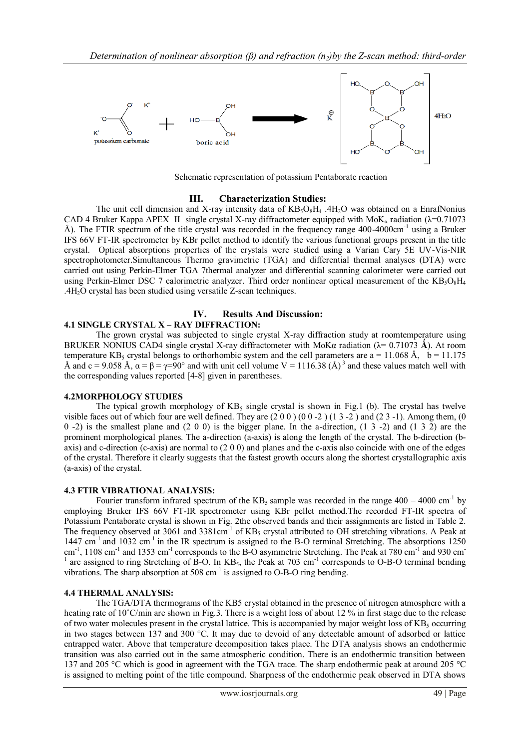

Schematic representation of potassium Pentaborate reaction

## **III. Characterization Studies:**

The unit cell dimension and X-ray intensity data of  $KB_5O_8H_4$  .4H<sub>2</sub>O was obtained on a EnrafNonius CAD 4 Bruker Kappa APEX II single crystal X-ray diffractometer equipped with MoK<sub>a</sub> radiation ( $\lambda$ =0.71073 Å). The FTIR spectrum of the title crystal was recorded in the frequency range 400-4000cm<sup>-1</sup> using a Bruker IFS 66V FT-IR spectrometer by KBr pellet method to identify the various functional groups present in the title crystal. Optical absorptions properties of the crystals were studied using a Varian Cary 5E UV-Vis-NIR spectrophotometer.Simultaneous Thermo gravimetric (TGA) and differential thermal analyses (DTA) were carried out using Perkin-Elmer TGA 7thermal analyzer and differential scanning calorimeter were carried out using Perkin-Elmer DSC 7 calorimetric analyzer. Third order nonlinear optical measurement of the  $KB_5O_8H_4$ .4H2O crystal has been studied using versatile Z-scan techniques.

## **IV. Results And Discussion:**

## **4.1 SINGLE CRYSTAL X – RAY DIFFRACTION:**

The grown crystal was subjected to single crystal X-ray diffraction study at roomtemperature using BRUKER NONIUS CAD4 single crystal X-ray diffractometer with MoKα radiation ( $λ = 0.71073$  Å). At room temperature KB<sub>5</sub> crystal belongs to orthorhombic system and the cell parameters are  $a = 11.068 \text{ Å}$ ,  $b = 11.175$ Å and c = 9.058 Å,  $\alpha = \beta = \gamma = 90^{\circ}$  and with unit cell volume V = 1116.38 (Å)<sup>3</sup> and these values match well with the corresponding values reported [4-8] given in parentheses.

#### **4.2MORPHOLOGY STUDIES**

The typical growth morphology of  $KB_5$  single crystal is shown in Fig.1 (b). The crystal has twelve visible faces out of which four are well defined. They are  $(2\ 0\ 0\ )$   $(0\ 0\ -2\ )$   $(1\ 3\ -2\ )$  and  $(2\ 3\ -1)$ . Among them,  $(0\ 0\ 0\ -2\ )$ 0 -2) is the smallest plane and  $(2\ 0\ 0)$  is the bigger plane. In the a-direction,  $(1\ 3\ -2)$  and  $(1\ 3\ 2)$  are the prominent morphological planes. The a-direction (a-axis) is along the length of the crystal. The b-direction (baxis) and c-direction (c-axis) are normal to (2 0 0) and planes and the c-axis also coincide with one of the edges of the crystal. Therefore it clearly suggests that the fastest growth occurs along the shortest crystallographic axis (a-axis) of the crystal.

## **4.3 FTIR VIBRATIONAL ANALYSIS:**

Fourier transform infrared spectrum of the  $KB_5$  sample was recorded in the range  $400 - 4000$  cm<sup>-1</sup> by employing Bruker IFS 66V FT-IR spectrometer using KBr pellet method.The recorded FT-IR spectra of Potassium Pentaborate crystal is shown in Fig. 2the observed bands and their assignments are listed in Table 2. The frequency observed at 3061 and 3381cm<sup>-1</sup> of  $KB_5$  crystal attributed to OH stretching vibrations. A Peak at  $1447 \text{ cm}^{-1}$  and  $1032 \text{ cm}^{-1}$  in the IR spectrum is assigned to the B-O terminal Stretching. The absorptions 1250 cm<sup>-1</sup>, 1108 cm<sup>-1</sup> and 1353 cm<sup>-1</sup> corresponds to the B-O asymmetric Stretching. The Peak at 780 cm<sup>-1</sup> and 930 cm<sup>-</sup> 1 are assigned to ring Stretching of B-O. In  $KB_5$ , the Peak at 703 cm<sup>-1</sup> corresponds to O-B-O terminal bending vibrations. The sharp absorption at  $508 \text{ cm}^{-1}$  is assigned to O-B-O ring bending.

## **4.4 THERMAL ANALYSIS:**

The TGA/DTA thermograms of the KB5 crystal obtained in the presence of nitrogen atmosphere with a heating rate of 10°C/min are shown in Fig.3. There is a weight loss of about 12 % in first stage due to the release of two water molecules present in the crystal lattice. This is accompanied by major weight loss of  $KB<sub>5</sub>$  occurring in two stages between 137 and 300 °C. It may due to devoid of any detectable amount of adsorbed or lattice entrapped water. Above that temperature decomposition takes place. The DTA analysis shows an endothermic transition was also carried out in the same atmospheric condition. There is an endothermic transition between 137 and 205 °C which is good in agreement with the TGA trace. The sharp endothermic peak at around 205 °C is assigned to melting point of the title compound. Sharpness of the endothermic peak observed in DTA shows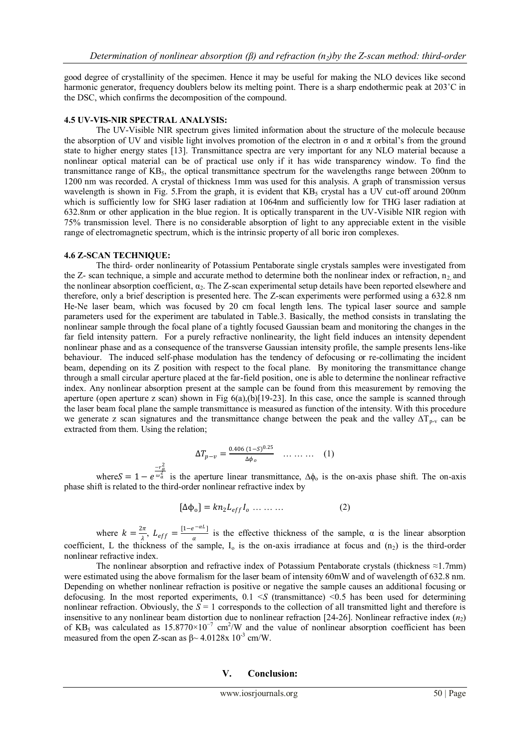good degree of crystallinity of the specimen. Hence it may be useful for making the NLO devices like second harmonic generator, frequency doublers below its melting point. There is a sharp endothermic peak at 203<sup>°</sup>C in the DSC, which confirms the decomposition of the compound.

#### **4.5 UV-VIS-NIR SPECTRAL ANALYSIS:**

The UV-Visible NIR spectrum gives limited information about the structure of the molecule because the absorption of UV and visible light involves promotion of the electron in  $\sigma$  and  $\pi$  orbital's from the ground state to higher energy states [13]. Transmittance spectra are very important for any NLO material because a nonlinear optical material can be of practical use only if it has wide transparency window. To find the transmittance range of KB5, the optical transmittance spectrum for the wavelengths range between 200nm to 1200 nm was recorded. A crystal of thickness 1mm was used for this analysis. A graph of transmission versus wavelength is shown in Fig. 5. From the graph, it is evident that  $KB<sub>5</sub>$  crystal has a UV cut-off around 200nm which is sufficiently low for SHG laser radiation at 1064nm and sufficiently low for THG laser radiation at 632.8nm or other application in the blue region. It is optically transparent in the UV-Visible NIR region with 75% transmission level. There is no considerable absorption of light to any appreciable extent in the visible range of electromagnetic spectrum, which is the intrinsic property of all boric iron complexes.

#### **4.6 Z-SCAN TECHNIQUE:**

The third- order nonlinearity of Potassium Pentaborate single crystals samples were investigated from the Z- scan technique, a simple and accurate method to determine both the nonlinear index or refraction,  $n_2$  and the nonlinear absorption coefficient,  $\alpha_2$ . The Z-scan experimental setup details have been reported elsewhere and therefore, only a brief description is presented here. The Z-scan experiments were performed using a 632.8 nm He-Ne laser beam, which was focused by 20 cm focal length lens. The typical laser source and sample parameters used for the experiment are tabulated in Table.3. Basically, the method consists in translating the nonlinear sample through the focal plane of a tightly focused Gaussian beam and monitoring the changes in the far field intensity pattern. For a purely refractive nonlinearity, the light field induces an intensity dependent nonlinear phase and as a consequence of the transverse Gaussian intensity profile, the sample presents lens-like behaviour. The induced self-phase modulation has the tendency of defocusing or re-collimating the incident beam, depending on its Z position with respect to the focal plane. By monitoring the transmittance change through a small circular aperture placed at the far-field position, one is able to determine the nonlinear refractive index. Any nonlinear absorption present at the sample can be found from this measurement by removing the aperture (open aperture z scan) shown in Fig 6(a),(b)[19-23]. In this case, once the sample is scanned through the laser beam focal plane the sample transmittance is measured as function of the intensity. With this procedure we generate z scan signatures and the transmittance change between the peak and the valley  $\Delta T_{p-v}$  can be extracted from them. Using the relation;

$$
\Delta T_{p-v} = \frac{0.406 (1 - S)^{0.25}}{\Delta \phi_o} \quad \dots \quad (1)
$$

where  $S = 1 - e$  $-r_a^2$  $\frac{\omega_a^2}{\omega_a^2}$  is the aperture linear transmittance,  $\Delta \phi_0$  is the on-axis phase shift. The on-axis phase shift is related to the third-order nonlinear refractive index by

$$
[\Delta \Phi_0] = k n_2 L_{eff} I_0 \dots \dots \dots \tag{2}
$$

where  $k = \frac{2\pi}{\lambda}$  $\frac{2\pi}{\lambda}$ ,  $L_{eff} = \frac{[1-e^{-\alpha L}]}{\alpha}$  $\frac{z}{\alpha}$  is the effective thickness of the sample,  $\alpha$  is the linear absorption coefficient, L the thickness of the sample,  $I_0$  is the on-axis irradiance at focus and  $(n_2)$  is the third-order nonlinear refractive index.

The nonlinear absorption and refractive index of Potassium Pentaborate crystals (thickness  $\approx$ 1.7mm) were estimated using the above formalism for the laser beam of intensity 60mW and of wavelength of 632.8 nm. Depending on whether nonlinear refraction is positive or negative the sample causes an additional focusing or defocusing. In the most reported experiments,  $0.1 < S$  (transmittance)  $< 0.5$  has been used for determining nonlinear refraction. Obviously, the *S* = 1 corresponds to the collection of all transmitted light and therefore is insensitive to any nonlinear beam distortion due to nonlinear refraction  $[24-26]$ . Nonlinear refractive index  $(n_2)$ of KB<sub>5</sub> was calculated as  $15.8770 \times 10^{-7}$  cm<sup>2</sup>/W and the value of nonlinear absorption coefficient has been measured from the open Z-scan as  $\beta \sim 4.0128x 10^{-3}$  cm/W.

#### **V. Conclusion:**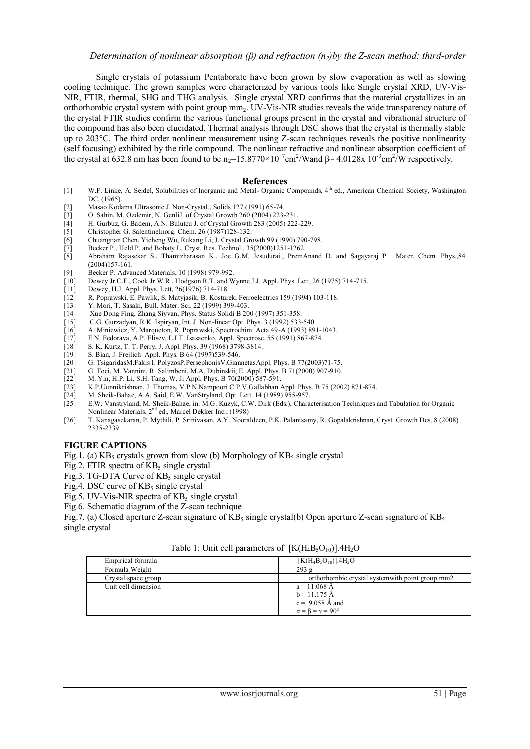Single crystals of potassium Pentaborate have been grown by slow evaporation as well as slowing cooling technique. The grown samples were characterized by various tools like Single crystal XRD, UV-Vis-NIR, FTIR, thermal, SHG and THG analysis. Single crystal XRD confirms that the material crystallizes in an orthorhombic crystal system with point group mm2. UV-Vis-NIR studies reveals the wide transparency nature of the crystal FTIR studies confirm the various functional groups present in the crystal and vibrational structure of the compound has also been elucidated. Thermal analysis through DSC shows that the crystal is thermally stable up to 203°C. The third order nonlinear measurement using Z-scan techniques reveals the positive nonlinearity (self focusing) exhibited by the title compound. The nonlinear refractive and nonlinear absorption coefficient of the crystal at 632.8 nm has been found to be  $n_2=15.8770\times10^{-7}$  cm<sup>2</sup>/Wand β $\sim 4.0128x 10^{-3}$  cm<sup>2</sup>/W respectively.

#### **References**

- [1] W.F. Linke, A. Seidel, Solubilities of Inorganic and Metal- Organic Compounds, 4th ed., American Chemical Society, Washington DC, (1965).
- [2] Masao Kodama Ultrasonic J. Non-Crystal., Solids 127 (1991) 65-74.
- [3] O. Sahin, M. Ozdemir, N. GenliJ. of Crystal Growth 260 (2004) 223-231.
- [4] H. Gurbuz, G. Badem, A.N. Bulutcu J. of Crystal Growth 283 (2005) 222-229.
- [5] Christopher G. SalentineInorg. Chem. 26 (1987)128-132.
- [6] Chuangtian Chen, Yicheng Wu, Rukang Li, J. Crystal Growth 99 (1990) 790-798.
- [7] Becker P., Held P. and Bohaty L. Cryst. Res. Technol., 35(2000)1251-1262.
- [8] Abraham Rajasekar S., Thamizharasan K., Joe G.M. Jesudurai., PremAnand D. and Sagayaraj P. Mater. Chem. Phys.,84 (2004)157-161.
- [9] Becker P. Advanced Materials, 10 (1998) 979-992.
- [10] Dewey Jr C.F., Cook Jr W.R., Hodgson R.T. and Wynne J.J. Appl. Phys. Lett, 26 (1975) 714-715.
- [11] Dewey, H.J. Appl. Phys. Lett, 26(1976) 714-718.
- [12] R. Poprawski, E. Pawlik, S. Matyjasik, B. Kosturek, Ferroelectrics 159 (1994) 103-118.
- Y. Mori, T. Sasaki, Bull. Mater. Sci. 22 (1999) 399-403.
- [14] Xue Dong Fing, Zhang Siyvan, Phys. Status Solidi B 200 (1997) 351-358.
- [15] C.G. Gurzadyan, R.K. Ispiryan, Int. J. Non-linear Opt. Phys. 3 (1992) 533-540.
- [16] A. Miniewicz, Y. Marqueton, R. Poprawski, Spectrochim. Acta 49-A (1993) 891-1043.
- E.N. Fedorava, A.P. Elisev, L.I.T. Isasaenko, Appl. Spectrosc. 55 (1991) 867-874.
- [18] S. K. Kurtz, T. T. Perry, J. Appl. Phys. 39 (1968) 3798-3814.
- $\begin{bmatrix} 19 \\ 120 \end{bmatrix}$  S. Bian, J. Frejlich Appl. Phys. B 64 (1997)539-546.<br>
[20] G. TsigaridasM. Fakis I. PolyzosP. Persephonis V. Gian
- [20] G. TsigaridasM.Fakis I. PolyzosP.PersephonisV.GiannetasAppl. Phys. B 77(2003)71-75.
- [21] G. Toci, M. Vannini, R. Salimbeni, M.A. Dubinskii, E. Appl. Phys. B 71(2000) 907-910.
- [22] M. Yin, H.P. Li, S.H. Tang, W. Ji Appl. Phys. B 70(2000) 587-591.
- [23] K.P.Uunnikrishnan, J. Thomas, V.P.N.Nampoori C.P.V.Gallabhan Appl. Phys. B 75 (2002) 871-874.
- [24] M. Sheik-Bahae, A.A. Said, E.W. VanStryland, Opt. Lett. 14 (1989) 955-957.
- [25] E.W. Vanstryland, M. Sheik-Bahae, in: M.G. Kuzyk, C.W. Dirk (Eds.), Characterisation Techniques and Tabulation for Organic Nonlinear Materials, 2<sup>nd</sup> ed., Marcel Dekker Inc., (1998)
- [26] T. Kanagasekaran, P. Mythili, P. Srinivasan, A.Y. Nooraldeen, P.K. Palanisamy, R. Gopalakrishnan, Cryst. Growth Des. 8 (2008) 2335-2339.

#### **FIGURE CAPTIONS**

- Fig.1. (a)  $KB_5$  crystals grown from slow (b) Morphology of  $KB_5$  single crystal
- Fig.2. FTIR spectra of  $KB<sub>5</sub>$  single crystal
- Fig.3. TG-DTA Curve of  $KB<sub>5</sub>$  single crystal
- Fig.4. DSC curve of  $KB_5$  single crystal
- Fig.5. UV-Vis-NIR spectra of  $KB_5$  single crystal
- Fig.6. Schematic diagram of the Z-scan technique

Fig.7. (a) Closed aperture Z-scan signature of  $KB_5$  single crystal(b) Open aperture Z-scan signature of  $KB_5$ single crystal

| Table 1: Unit cell parameters of $[K(H_4B_5O_{10})].4H_2O$ |  |
|------------------------------------------------------------|--|
|------------------------------------------------------------|--|

| Empirical formula   | $[K(H_4B_5O_{10})]$ .4H <sub>2</sub> O           |
|---------------------|--------------------------------------------------|
| Formula Weight      | 293g                                             |
| Crystal space group | orthorhombic crystal system with point group mm2 |
| Unit cell dimension | $a = 11.068$ Å                                   |
|                     | $b = 11.175 \text{ Å}$                           |
|                     | $c = 9.058$ Å and                                |
|                     | $\alpha = \beta = \gamma = 90^{\circ}$           |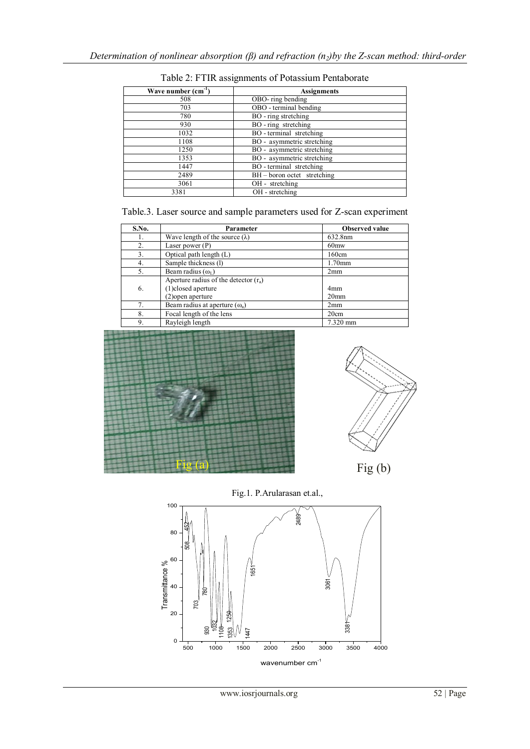| Wave number $(cm-1)$ | <b>Assignments</b>            |  |
|----------------------|-------------------------------|--|
| 508                  | OBO- ring bending             |  |
| 703                  | OBO - terminal bending        |  |
| 780                  | BO - ring stretching          |  |
| 930                  | BO - ring stretching          |  |
| 1032                 | BO - terminal stretching      |  |
| 1108                 | BO - asymmetric stretching    |  |
| 1250                 | BO - asymmetric stretching    |  |
| 1353                 | BO - asymmetric stretching    |  |
| 1447                 | BO - terminal stretching      |  |
| 2489                 | $BH - boron octet$ stretching |  |
| 3061                 | OH - stretching               |  |
| 3381                 | OH - stretching               |  |

Table 2: FTIR assignments of Potassium Pentaborate

|  |  | Table.3. Laser source and sample parameters used for Z-scan experiment |  |
|--|--|------------------------------------------------------------------------|--|
|--|--|------------------------------------------------------------------------|--|

| S.No. | Parameter                               | <b>Observed value</b> |
|-------|-----------------------------------------|-----------------------|
| 1.    | Wave length of the source $(\lambda)$   | 632.8nm               |
| 2.    | Laser power $(P)$                       | 60 <sub>mw</sub>      |
| 3.    | Optical path length (L)                 | 160cm                 |
| 4.    | Sample thickness (1)                    | $1.70$ mm             |
| 5.    | Beam radius $(\omega_1)$                | 2mm                   |
|       | Aperture radius of the detector $(r_a)$ |                       |
| 6.    | (1) closed aperture                     | 4 <sub>mm</sub>       |
|       | (2) open aperture                       | 20 <sub>mm</sub>      |
| 7.    | Beam radius at aperture $(\omega_a)$    | 2mm                   |
| 8.    | Focal length of the lens                | 20cm                  |
| 9.    | Rayleigh length                         | 7.320 mm              |





 $Fig (b)$ 

Fig.1. P.Arularasan et.al.,

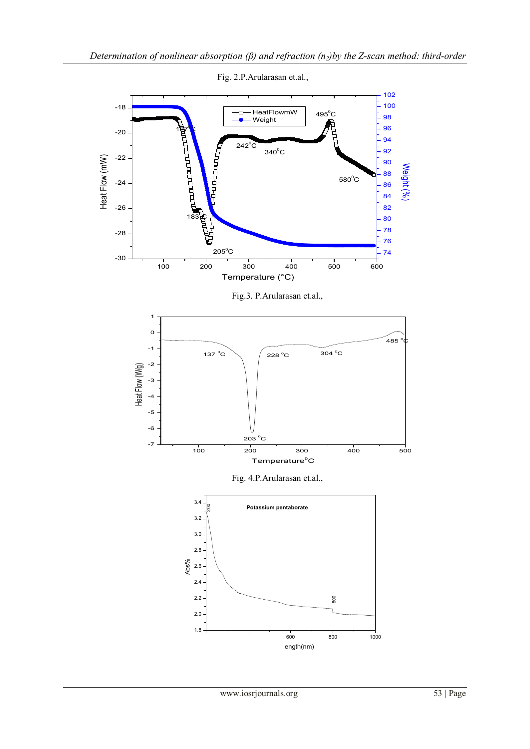

Fig. 2.P.Arularasan et.al.,

Fig.3. P.Arularasan et.al.,



Fig. 4.P.Arularasan et.al.,